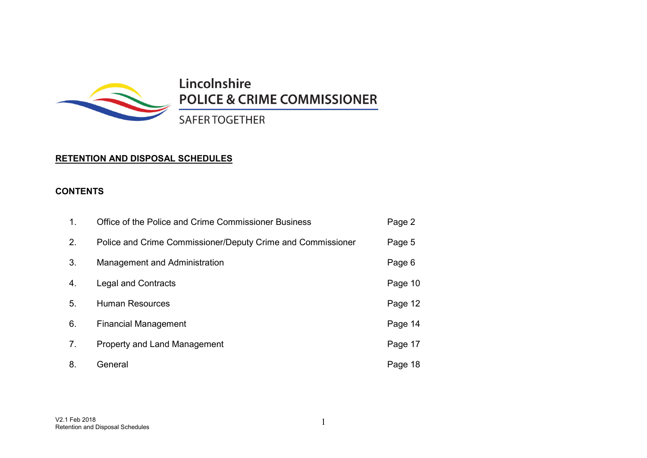

Lincolnshire **POLICE & CRIME COMMISSIONER** 

**SAFER TOGETHER** 

## **RETENTION AND DISPOSAL SCHEDULES**

## **CONTENTS**

| 1. | Office of the Police and Crime Commissioner Business        | Page 2  |
|----|-------------------------------------------------------------|---------|
| 2. | Police and Crime Commissioner/Deputy Crime and Commissioner | Page 5  |
| 3. | Management and Administration                               | Page 6  |
| 4. | <b>Legal and Contracts</b>                                  | Page 10 |
| 5. | <b>Human Resources</b>                                      | Page 12 |
| 6. | <b>Financial Management</b>                                 | Page 14 |
| 7. | <b>Property and Land Management</b>                         | Page 17 |
| 8. | General                                                     | Page 18 |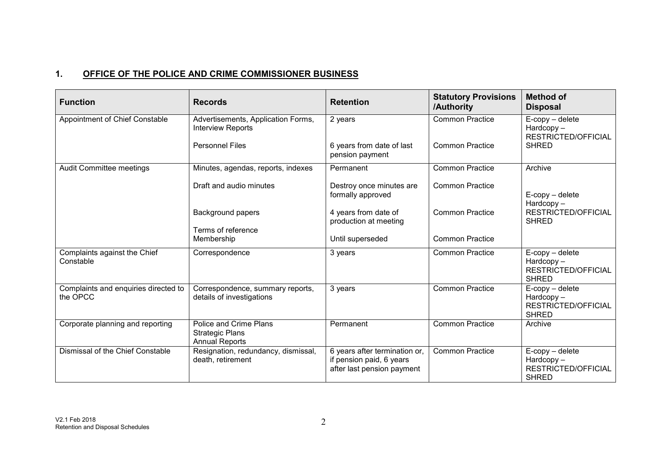# **1. OFFICE OF THE POLICE AND CRIME COMMISSIONER BUSINESS**

| <b>Function</b>                                  | <b>Records</b>                                                                           | <b>Retention</b>                                                                        | <b>Statutory Provisions</b><br>/Authority        | <b>Method of</b><br><b>Disposal</b>                                              |
|--------------------------------------------------|------------------------------------------------------------------------------------------|-----------------------------------------------------------------------------------------|--------------------------------------------------|----------------------------------------------------------------------------------|
| Appointment of Chief Constable                   | Advertisements, Application Forms,<br><b>Interview Reports</b><br><b>Personnel Files</b> | 2 years<br>6 years from date of last                                                    | <b>Common Practice</b><br><b>Common Practice</b> | $E$ -copy – delete<br>$Hardcopy -$<br><b>RESTRICTED/OFFICIAL</b><br><b>SHRED</b> |
|                                                  |                                                                                          | pension payment                                                                         |                                                  |                                                                                  |
| Audit Committee meetings                         | Minutes, agendas, reports, indexes                                                       | Permanent                                                                               | <b>Common Practice</b>                           | Archive                                                                          |
|                                                  | Draft and audio minutes                                                                  | Destroy once minutes are<br>formally approved                                           | <b>Common Practice</b>                           | $E$ -copy – delete<br>$Hardcopy -$                                               |
|                                                  | <b>Background papers</b><br>Terms of reference                                           | 4 years from date of<br>production at meeting                                           | <b>Common Practice</b>                           | RESTRICTED/OFFICIAL<br><b>SHRED</b>                                              |
|                                                  | Membership                                                                               | Until superseded                                                                        | <b>Common Practice</b>                           |                                                                                  |
| Complaints against the Chief<br>Constable        | Correspondence                                                                           | 3 years                                                                                 | <b>Common Practice</b>                           | $E$ -copy – delete<br>$Hardcopy -$<br>RESTRICTED/OFFICIAL<br><b>SHRED</b>        |
| Complaints and enquiries directed to<br>the OPCC | Correspondence, summary reports,<br>details of investigations                            | 3 years                                                                                 | <b>Common Practice</b>                           | $E$ -copy – delete<br>$Hardcopy -$<br>RESTRICTED/OFFICIAL<br><b>SHRED</b>        |
| Corporate planning and reporting                 | Police and Crime Plans<br><b>Strategic Plans</b><br><b>Annual Reports</b>                | Permanent                                                                               | <b>Common Practice</b>                           | Archive                                                                          |
| Dismissal of the Chief Constable                 | Resignation, redundancy, dismissal,<br>death, retirement                                 | 6 years after termination or,<br>if pension paid, 6 years<br>after last pension payment | <b>Common Practice</b>                           | E-copy - delete<br>$Hardcopy -$<br><b>RESTRICTED/OFFICIAL</b><br><b>SHRED</b>    |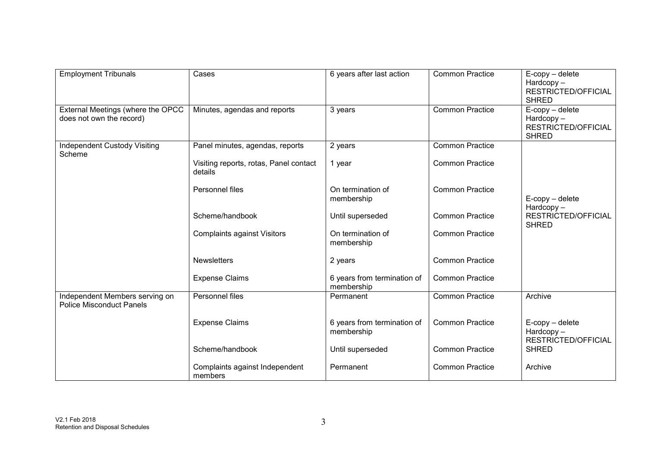| <b>Employment Tribunals</b>                                       | Cases                                             | 6 years after last action                 | <b>Common Practice</b> | $E$ -copy – delete<br>$Hardcopy -$<br>RESTRICTED/OFFICIAL<br><b>SHRED</b> |
|-------------------------------------------------------------------|---------------------------------------------------|-------------------------------------------|------------------------|---------------------------------------------------------------------------|
| External Meetings (where the OPCC<br>does not own the record)     | Minutes, agendas and reports                      | 3 years                                   | <b>Common Practice</b> | $E$ -copy – delete<br>$Hardcopy -$<br>RESTRICTED/OFFICIAL<br><b>SHRED</b> |
| <b>Independent Custody Visiting</b><br>Scheme                     | Panel minutes, agendas, reports                   | 2 years                                   | <b>Common Practice</b> |                                                                           |
|                                                                   | Visiting reports, rotas, Panel contact<br>details | 1 year                                    | <b>Common Practice</b> |                                                                           |
|                                                                   | Personnel files                                   | On termination of<br>membership           | <b>Common Practice</b> | $E$ -copy – delete<br>$Hardcopy -$                                        |
|                                                                   | Scheme/handbook                                   | Until superseded                          | <b>Common Practice</b> | RESTRICTED/OFFICIAL<br><b>SHRED</b>                                       |
|                                                                   | <b>Complaints against Visitors</b>                | On termination of<br>membership           | <b>Common Practice</b> |                                                                           |
|                                                                   | <b>Newsletters</b>                                | 2 years                                   | <b>Common Practice</b> |                                                                           |
|                                                                   | <b>Expense Claims</b>                             | 6 years from termination of<br>membership | <b>Common Practice</b> |                                                                           |
| Independent Members serving on<br><b>Police Misconduct Panels</b> | Personnel files                                   | Permanent                                 | <b>Common Practice</b> | Archive                                                                   |
|                                                                   | <b>Expense Claims</b>                             | 6 years from termination of<br>membership | <b>Common Practice</b> | $E$ -copy – delete<br>$Hardcopy -$<br>RESTRICTED/OFFICIAL                 |
|                                                                   | Scheme/handbook                                   | Until superseded                          | <b>Common Practice</b> | <b>SHRED</b>                                                              |
|                                                                   | Complaints against Independent<br>members         | Permanent                                 | <b>Common Practice</b> | Archive                                                                   |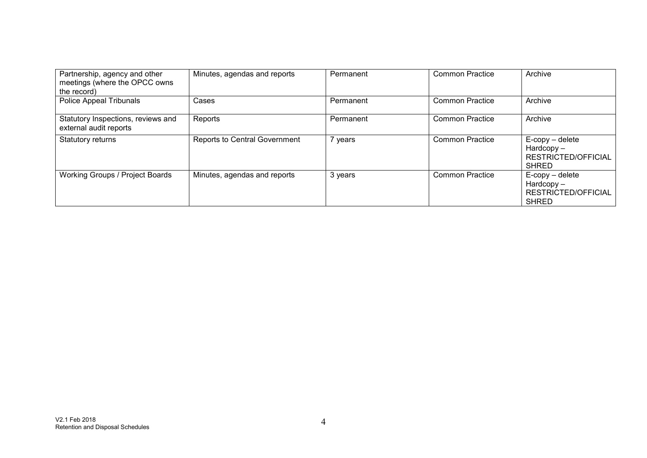| Partnership, agency and other<br>meetings (where the OPCC owns<br>the record) | Minutes, agendas and reports         | Permanent | <b>Common Practice</b> | Archive                                                                   |
|-------------------------------------------------------------------------------|--------------------------------------|-----------|------------------------|---------------------------------------------------------------------------|
| Police Appeal Tribunals                                                       | Cases                                | Permanent | <b>Common Practice</b> | Archive                                                                   |
| Statutory Inspections, reviews and<br>external audit reports                  | Reports                              | Permanent | <b>Common Practice</b> | Archive                                                                   |
| Statutory returns                                                             | <b>Reports to Central Government</b> | 7 years   | <b>Common Practice</b> | $E$ -copy – delete<br>$Hardcopy -$<br>RESTRICTED/OFFICIAL<br><b>SHRED</b> |
| Working Groups / Project Boards                                               | Minutes, agendas and reports         | 3 years   | <b>Common Practice</b> | $E$ -copy – delete<br>$Hardcopy -$<br>RESTRICTED/OFFICIAL<br><b>SHRED</b> |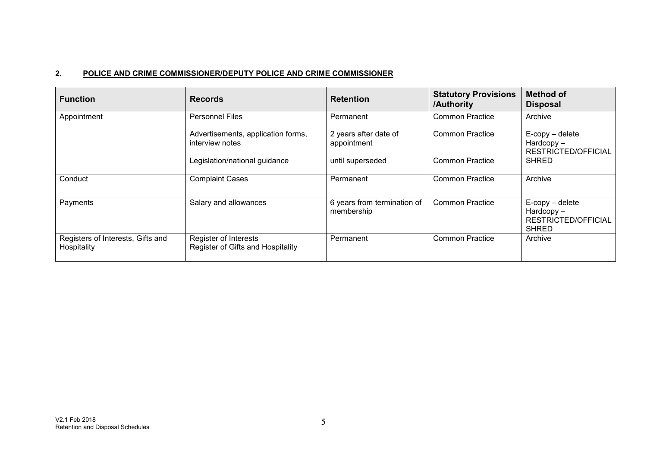### **2. POLICE AND CRIME COMMISSIONER/DEPUTY POLICE AND CRIME COMMISSIONER**

| <b>Function</b>                                  | <b>Records</b>                                             | <b>Retention</b>                          | <b>Statutory Provisions</b><br>/Authority | <b>Method of</b><br><b>Disposal</b>                                       |
|--------------------------------------------------|------------------------------------------------------------|-------------------------------------------|-------------------------------------------|---------------------------------------------------------------------------|
| Appointment                                      | <b>Personnel Files</b>                                     | Permanent                                 | <b>Common Practice</b>                    | Archive                                                                   |
|                                                  | Advertisements, application forms,<br>interview notes      | 2 years after date of<br>appointment      | Common Practice                           | $E$ -copy – delete<br>$Hardcopy -$<br>RESTRICTED/OFFICIAL                 |
|                                                  | Legislation/national guidance                              | until superseded                          | <b>Common Practice</b>                    | <b>SHRED</b>                                                              |
| Conduct                                          | <b>Complaint Cases</b>                                     | Permanent                                 | Common Practice                           | Archive                                                                   |
| Payments                                         | Salary and allowances                                      | 6 years from termination of<br>membership | <b>Common Practice</b>                    | $E$ -copy – delete<br>$Hardcopy -$<br>RESTRICTED/OFFICIAL<br><b>SHRED</b> |
| Registers of Interests, Gifts and<br>Hospitality | Register of Interests<br>Register of Gifts and Hospitality | Permanent                                 | <b>Common Practice</b>                    | Archive                                                                   |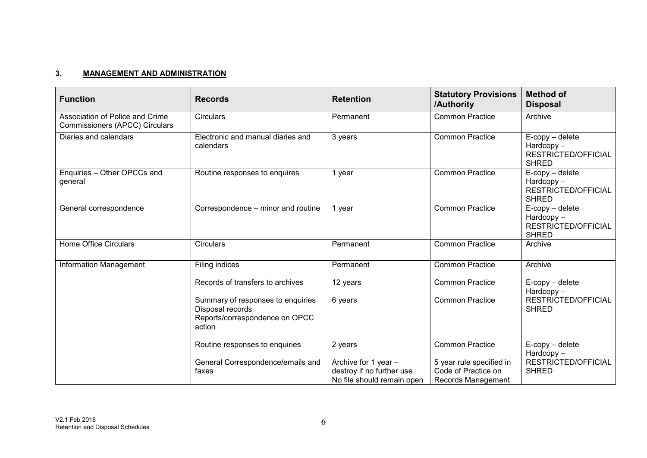### **3. MANAGEMENT AND ADMINISTRATION**

| <b>Function</b>                                                   | <b>Records</b>                                                                                    | <b>Retention</b>                                                                 | <b>Statutory Provisions</b><br>/Authority                             | <b>Method of</b><br><b>Disposal</b>                                       |
|-------------------------------------------------------------------|---------------------------------------------------------------------------------------------------|----------------------------------------------------------------------------------|-----------------------------------------------------------------------|---------------------------------------------------------------------------|
| Association of Police and Crime<br>Commissioners (APCC) Circulars | Circulars                                                                                         | Permanent                                                                        | <b>Common Practice</b>                                                | Archive                                                                   |
| Diaries and calendars                                             | Electronic and manual diaries and<br>calendars                                                    | 3 years                                                                          | <b>Common Practice</b>                                                | $E$ -copy – delete<br>$Hardcopy -$<br>RESTRICTED/OFFICIAL<br><b>SHRED</b> |
| Enquiries - Other OPCCs and<br>general                            | Routine responses to enquires                                                                     | 1 year                                                                           | <b>Common Practice</b>                                                | $E$ -copy – delete<br>$Hardcopy -$<br>RESTRICTED/OFFICIAL<br><b>SHRED</b> |
| General correspondence                                            | Correspondence – minor and routine                                                                | 1 year                                                                           | <b>Common Practice</b>                                                | $E$ -copy – delete<br>Hardcopy-<br>RESTRICTED/OFFICIAL<br><b>SHRED</b>    |
| <b>Home Office Circulars</b>                                      | Circulars                                                                                         | Permanent                                                                        | <b>Common Practice</b>                                                | Archive                                                                   |
| <b>Information Management</b>                                     | Filing indices                                                                                    | Permanent                                                                        | <b>Common Practice</b>                                                | Archive                                                                   |
|                                                                   | Records of transfers to archives                                                                  | 12 years                                                                         | <b>Common Practice</b>                                                | $E$ -copy – delete<br>Hardcopy-                                           |
|                                                                   | Summary of responses to enquiries<br>Disposal records<br>Reports/correspondence on OPCC<br>action | 6 years                                                                          | <b>Common Practice</b>                                                | RESTRICTED/OFFICIAL<br><b>SHRED</b>                                       |
|                                                                   | Routine responses to enquiries                                                                    | 2 years                                                                          | <b>Common Practice</b>                                                | $E$ -copy – delete<br>Hardcopy-                                           |
|                                                                   | General Correspondence/emails and<br>faxes                                                        | Archive for 1 year -<br>destroy if no further use.<br>No file should remain open | 5 year rule specified in<br>Code of Practice on<br>Records Management | RESTRICTED/OFFICIAL<br><b>SHRED</b>                                       |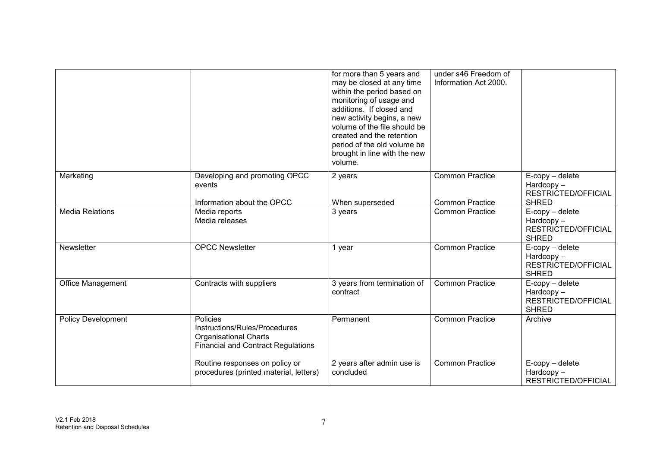|                           |                                                                                                                        | for more than 5 years and<br>may be closed at any time<br>within the period based on<br>monitoring of usage and<br>additions. If closed and<br>new activity begins, a new<br>volume of the file should be<br>created and the retention<br>period of the old volume be<br>brought in line with the new<br>volume. | under s46 Freedom of<br>Information Act 2000.    |                                                                           |
|---------------------------|------------------------------------------------------------------------------------------------------------------------|------------------------------------------------------------------------------------------------------------------------------------------------------------------------------------------------------------------------------------------------------------------------------------------------------------------|--------------------------------------------------|---------------------------------------------------------------------------|
| Marketing                 | Developing and promoting OPCC<br>events<br>Information about the OPCC                                                  | 2 years<br>When superseded                                                                                                                                                                                                                                                                                       | <b>Common Practice</b><br><b>Common Practice</b> | $E$ -copy – delete<br>Hardcopy-<br>RESTRICTED/OFFICIAL<br><b>SHRED</b>    |
| <b>Media Relations</b>    | Media reports<br>Media releases                                                                                        | 3 years                                                                                                                                                                                                                                                                                                          | <b>Common Practice</b>                           | $E$ -copy – delete<br>$Hardcopy -$<br>RESTRICTED/OFFICIAL<br><b>SHRED</b> |
| Newsletter                | <b>OPCC Newsletter</b>                                                                                                 | 1 year                                                                                                                                                                                                                                                                                                           | <b>Common Practice</b>                           | $E$ -copy – delete<br>Hardcopy-<br>RESTRICTED/OFFICIAL<br><b>SHRED</b>    |
| <b>Office Management</b>  | Contracts with suppliers                                                                                               | 3 years from termination of<br>contract                                                                                                                                                                                                                                                                          | <b>Common Practice</b>                           | $E$ -copy – delete<br>$Hardcopy -$<br>RESTRICTED/OFFICIAL<br><b>SHRED</b> |
| <b>Policy Development</b> | Policies<br>Instructions/Rules/Procedures<br><b>Organisational Charts</b><br><b>Financial and Contract Regulations</b> | Permanent                                                                                                                                                                                                                                                                                                        | <b>Common Practice</b>                           | Archive                                                                   |
|                           | Routine responses on policy or<br>procedures (printed material, letters)                                               | 2 years after admin use is<br>concluded                                                                                                                                                                                                                                                                          | <b>Common Practice</b>                           | $E$ -copy – delete<br>Hardcopy-<br>RESTRICTED/OFFICIAL                    |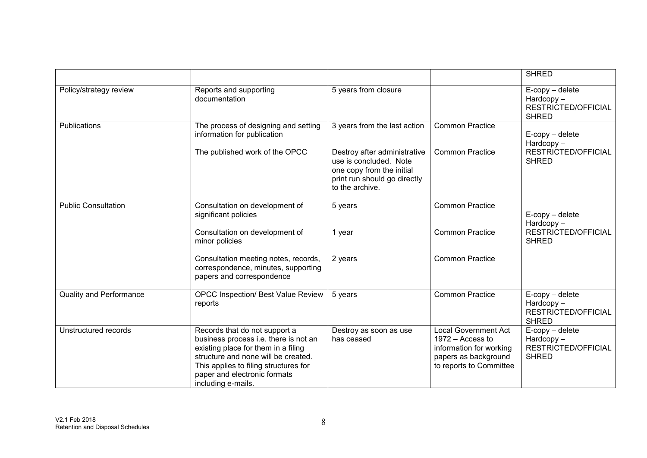|                                |                                                                                                                                                                                                                                                     |                                                                                                                                        |                                                                                                                          | <b>SHRED</b>                                                              |
|--------------------------------|-----------------------------------------------------------------------------------------------------------------------------------------------------------------------------------------------------------------------------------------------------|----------------------------------------------------------------------------------------------------------------------------------------|--------------------------------------------------------------------------------------------------------------------------|---------------------------------------------------------------------------|
| Policy/strategy review         | Reports and supporting<br>documentation                                                                                                                                                                                                             | 5 years from closure                                                                                                                   |                                                                                                                          | $E$ -copy – delete<br>$Hardcopy -$<br>RESTRICTED/OFFICIAL<br><b>SHRED</b> |
| Publications                   | The process of designing and setting<br>information for publication                                                                                                                                                                                 | 3 years from the last action                                                                                                           | <b>Common Practice</b>                                                                                                   | $E$ -copy – delete<br>Hardcopy-                                           |
|                                | The published work of the OPCC                                                                                                                                                                                                                      | Destroy after administrative<br>use is concluded. Note<br>one copy from the initial<br>print run should go directly<br>to the archive. | <b>Common Practice</b>                                                                                                   | RESTRICTED/OFFICIAL<br><b>SHRED</b>                                       |
| <b>Public Consultation</b>     | Consultation on development of<br>significant policies                                                                                                                                                                                              | 5 years                                                                                                                                | <b>Common Practice</b>                                                                                                   | $E$ -copy – delete<br>Hardcopy-                                           |
|                                | Consultation on development of<br>minor policies                                                                                                                                                                                                    | 1 year                                                                                                                                 | <b>Common Practice</b>                                                                                                   | <b>RESTRICTED/OFFICIAL</b><br><b>SHRED</b>                                |
|                                | Consultation meeting notes, records,<br>correspondence, minutes, supporting<br>papers and correspondence                                                                                                                                            | 2 years                                                                                                                                | <b>Common Practice</b>                                                                                                   |                                                                           |
| <b>Quality and Performance</b> | <b>OPCC Inspection/ Best Value Review</b><br>reports                                                                                                                                                                                                | 5 years                                                                                                                                | <b>Common Practice</b>                                                                                                   | $E$ -copy – delete<br>Hardcopy-<br>RESTRICTED/OFFICIAL<br><b>SHRED</b>    |
| Unstructured records           | Records that do not support a<br>business process i.e. there is not an<br>existing place for them in a filing<br>structure and none will be created.<br>This applies to filing structures for<br>paper and electronic formats<br>including e-mails. | Destroy as soon as use<br>has ceased                                                                                                   | Local Government Act<br>$1972 -$ Access to<br>information for working<br>papers as background<br>to reports to Committee | $E$ -copy – delete<br>Hardcopy-<br>RESTRICTED/OFFICIAL<br><b>SHRED</b>    |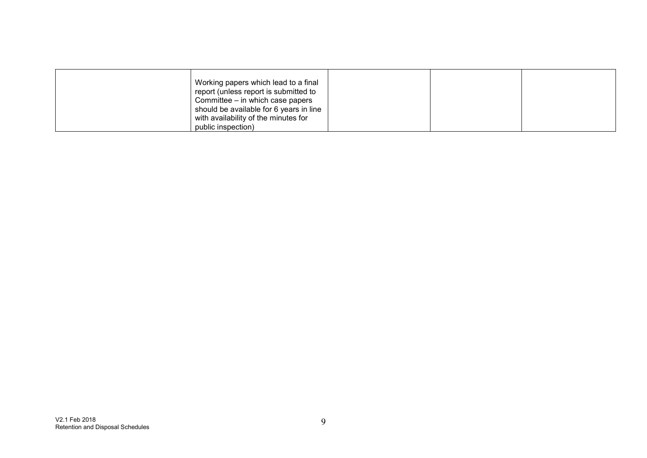| Working papers which lead to a final<br>report (unless report is submitted to<br>Committee – in which case papers<br>should be available for 6 years in line<br>with availability of the minutes for |  |  |
|------------------------------------------------------------------------------------------------------------------------------------------------------------------------------------------------------|--|--|
| public inspection)                                                                                                                                                                                   |  |  |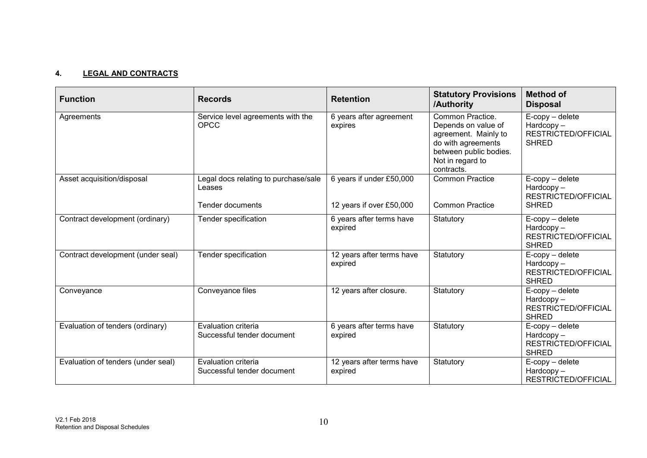### **4. LEGAL AND CONTRACTS**

| <b>Function</b>                    | <b>Records</b>                                                     | <b>Retention</b>                                     | <b>Statutory Provisions</b><br>/Authority                                                                                                         | <b>Method of</b><br><b>Disposal</b>                                       |
|------------------------------------|--------------------------------------------------------------------|------------------------------------------------------|---------------------------------------------------------------------------------------------------------------------------------------------------|---------------------------------------------------------------------------|
| Agreements                         | Service level agreements with the<br><b>OPCC</b>                   | 6 years after agreement<br>expires                   | Common Practice.<br>Depends on value of<br>agreement. Mainly to<br>do with agreements<br>between public bodies.<br>Not in regard to<br>contracts. | $E$ -copy – delete<br>$Hardcopy -$<br>RESTRICTED/OFFICIAL<br><b>SHRED</b> |
| Asset acquisition/disposal         | Legal docs relating to purchase/sale<br>Leases<br>Tender documents | 6 years if under £50,000<br>12 years if over £50,000 | <b>Common Practice</b><br><b>Common Practice</b>                                                                                                  | $E$ -copy – delete<br>$Hardcopy -$<br>RESTRICTED/OFFICIAL<br><b>SHRED</b> |
| Contract development (ordinary)    | Tender specification                                               | 6 years after terms have<br>expired                  | Statutory                                                                                                                                         | $E$ -copy – delete<br>Hardcopy-<br>RESTRICTED/OFFICIAL<br><b>SHRED</b>    |
| Contract development (under seal)  | Tender specification                                               | 12 years after terms have<br>expired                 | Statutory                                                                                                                                         | $E$ -copy – delete<br>Hardcopy-<br>RESTRICTED/OFFICIAL<br><b>SHRED</b>    |
| Conveyance                         | Conveyance files                                                   | 12 years after closure.                              | Statutory                                                                                                                                         | $E$ -copy – delete<br>$Hardcopy -$<br>RESTRICTED/OFFICIAL<br><b>SHRED</b> |
| Evaluation of tenders (ordinary)   | Evaluation criteria<br>Successful tender document                  | 6 years after terms have<br>expired                  | Statutory                                                                                                                                         | $E$ -copy – delete<br>$Hardcopy -$<br>RESTRICTED/OFFICIAL<br><b>SHRED</b> |
| Evaluation of tenders (under seal) | Evaluation criteria<br>Successful tender document                  | 12 years after terms have<br>expired                 | Statutory                                                                                                                                         | $E$ -copy – delete<br>$Hardcopy -$<br>RESTRICTED/OFFICIAL                 |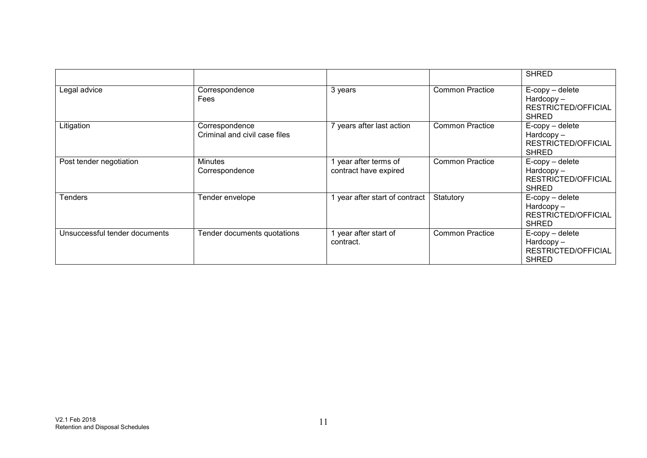|                               |                                                 |                                                |                        | <b>SHRED</b>                                                                     |
|-------------------------------|-------------------------------------------------|------------------------------------------------|------------------------|----------------------------------------------------------------------------------|
| Legal advice                  | Correspondence<br>Fees                          | 3 years                                        | <b>Common Practice</b> | $E$ -copy – delete<br>$Hardcopy -$<br>RESTRICTED/OFFICIAL<br><b>SHRED</b>        |
| Litigation                    | Correspondence<br>Criminal and civil case files | 7 years after last action                      | <b>Common Practice</b> | $E$ -copy – delete<br>Hardcopy-<br><b>RESTRICTED/OFFICIAL</b><br><b>SHRED</b>    |
| Post tender negotiation       | <b>Minutes</b><br>Correspondence                | 1 year after terms of<br>contract have expired | <b>Common Practice</b> | $E$ -copy – delete<br>$Hardcopy -$<br><b>RESTRICTED/OFFICIAL</b><br><b>SHRED</b> |
| <b>Tenders</b>                | Tender envelope                                 | year after start of contract                   | Statutory              | $E$ -copy – delete<br>$Hardcopy -$<br><b>RESTRICTED/OFFICIAL</b><br><b>SHRED</b> |
| Unsuccessful tender documents | Tender documents quotations                     | 1 year after start of<br>contract.             | <b>Common Practice</b> | $E$ -copy – delete<br>$Hardcopy -$<br>RESTRICTED/OFFICIAL<br><b>SHRED</b>        |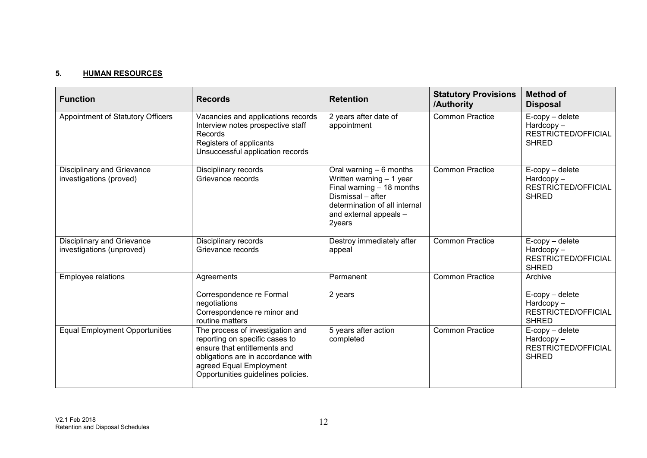#### **5. HUMAN RESOURCES**

| <b>Function</b>                                                | <b>Records</b>                                                                                                                                                                                            | <b>Retention</b>                                                                                                                                                            | <b>Statutory Provisions</b><br>/Authority | <b>Method of</b><br><b>Disposal</b>                                               |
|----------------------------------------------------------------|-----------------------------------------------------------------------------------------------------------------------------------------------------------------------------------------------------------|-----------------------------------------------------------------------------------------------------------------------------------------------------------------------------|-------------------------------------------|-----------------------------------------------------------------------------------|
| Appointment of Statutory Officers                              | Vacancies and applications records<br>Interview notes prospective staff<br>Records<br>Registers of applicants<br>Unsuccessful application records                                                         | 2 years after date of<br>appointment                                                                                                                                        | <b>Common Practice</b>                    | $E$ -copy – delete<br>Hardcopy-<br>RESTRICTED/OFFICIAL<br><b>SHRED</b>            |
| Disciplinary and Grievance<br>investigations (proved)          | Disciplinary records<br>Grievance records                                                                                                                                                                 | Oral warning $-6$ months<br>Written warning - 1 year<br>Final warning - 18 months<br>Dismissal - after<br>determination of all internal<br>and external appeals -<br>2years | <b>Common Practice</b>                    | $E$ -copy – delete<br>Hardcopy-<br>RESTRICTED/OFFICIAL<br><b>SHRED</b>            |
| <b>Disciplinary and Grievance</b><br>investigations (unproved) | Disciplinary records<br>Grievance records                                                                                                                                                                 | Destroy immediately after<br>appeal                                                                                                                                         | <b>Common Practice</b>                    | E-copy - delete<br>Hardcopy-<br>RESTRICTED/OFFICIAL<br><b>SHRED</b>               |
| Employee relations                                             | Agreements<br>Correspondence re Formal<br>negotiations<br>Correspondence re minor and<br>routine matters                                                                                                  | Permanent<br>2 years                                                                                                                                                        | <b>Common Practice</b>                    | Archive<br>$E$ -copy – delete<br>Hardcopy-<br>RESTRICTED/OFFICIAL<br><b>SHRED</b> |
| <b>Equal Employment Opportunities</b>                          | The process of investigation and<br>reporting on specific cases to<br>ensure that entitlements and<br>obligations are in accordance with<br>agreed Equal Employment<br>Opportunities guidelines policies. | 5 years after action<br>completed                                                                                                                                           | <b>Common Practice</b>                    | $E$ -copy – delete<br>Hardcopy-<br>RESTRICTED/OFFICIAL<br><b>SHRED</b>            |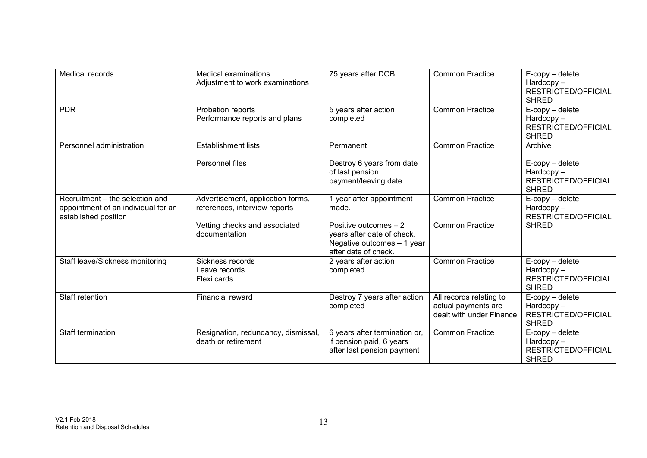| Medical records                                                                                | Medical examinations<br>Adjustment to work examinations            | 75 years after DOB                                                                                        | <b>Common Practice</b>                                                     | $E$ -copy – delete<br>Hardcopy-<br><b>RESTRICTED/OFFICIAL</b><br><b>SHRED</b> |
|------------------------------------------------------------------------------------------------|--------------------------------------------------------------------|-----------------------------------------------------------------------------------------------------------|----------------------------------------------------------------------------|-------------------------------------------------------------------------------|
| <b>PDR</b>                                                                                     | Probation reports<br>Performance reports and plans                 | 5 years after action<br>completed                                                                         | <b>Common Practice</b>                                                     | $E$ -copy – delete<br>Hardcopy-<br><b>RESTRICTED/OFFICIAL</b><br><b>SHRED</b> |
| Personnel administration                                                                       | <b>Establishment lists</b>                                         | Permanent                                                                                                 | <b>Common Practice</b>                                                     | Archive                                                                       |
|                                                                                                | Personnel files                                                    | Destroy 6 years from date<br>of last pension<br>payment/leaving date                                      |                                                                            | $E$ -copy – delete<br>Hardcopy-<br><b>RESTRICTED/OFFICIAL</b><br><b>SHRED</b> |
| Recruitment - the selection and<br>appointment of an individual for an<br>established position | Advertisement, application forms,<br>references, interview reports | 1 year after appointment<br>made.                                                                         | <b>Common Practice</b>                                                     | $E$ -copy – delete<br>$Hardcopy -$<br>RESTRICTED/OFFICIAL                     |
|                                                                                                | Vetting checks and associated<br>documentation                     | Positive outcomes - 2<br>years after date of check.<br>Negative outcomes - 1 year<br>after date of check. | <b>Common Practice</b>                                                     | <b>SHRED</b>                                                                  |
| Staff leave/Sickness monitoring                                                                | Sickness records<br>Leave records<br>Flexi cards                   | 2 years after action<br>completed                                                                         | <b>Common Practice</b>                                                     | $E$ -copy – delete<br>Hardcopy-<br><b>RESTRICTED/OFFICIAL</b><br><b>SHRED</b> |
| Staff retention                                                                                | Financial reward                                                   | Destroy 7 years after action<br>completed                                                                 | All records relating to<br>actual payments are<br>dealt with under Finance | $E$ -copy – delete<br>Hardcopy-<br>RESTRICTED/OFFICIAL<br><b>SHRED</b>        |
| Staff termination                                                                              | Resignation, redundancy, dismissal,<br>death or retirement         | 6 years after termination or,<br>if pension paid, 6 years<br>after last pension payment                   | <b>Common Practice</b>                                                     | $E$ -copy – delete<br>Hardcopy-<br>RESTRICTED/OFFICIAL<br><b>SHRED</b>        |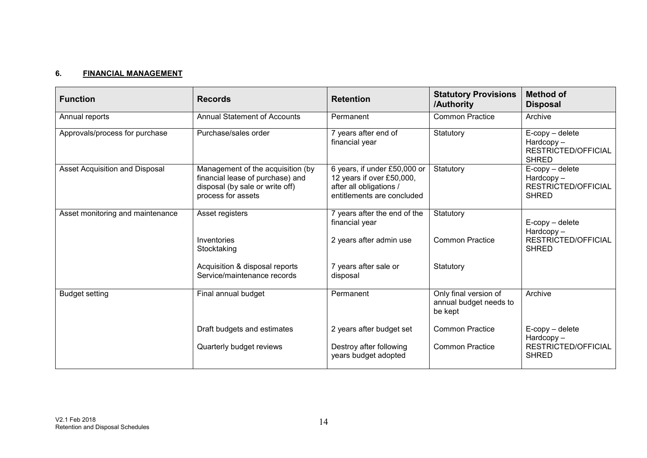### **6. FINANCIAL MANAGEMENT**

| <b>Function</b>                  | <b>Records</b>                                                                                                                 | <b>Retention</b>                                                                                                   | <b>Statutory Provisions</b><br>/Authority                  | <b>Method of</b><br><b>Disposal</b>                                              |
|----------------------------------|--------------------------------------------------------------------------------------------------------------------------------|--------------------------------------------------------------------------------------------------------------------|------------------------------------------------------------|----------------------------------------------------------------------------------|
| Annual reports                   | <b>Annual Statement of Accounts</b>                                                                                            | Permanent                                                                                                          | <b>Common Practice</b>                                     | Archive                                                                          |
| Approvals/process for purchase   | Purchase/sales order                                                                                                           | 7 years after end of<br>financial year                                                                             | Statutory                                                  | $E$ -copy – delete<br>$Hardcopy -$<br><b>RESTRICTED/OFFICIAL</b><br><b>SHRED</b> |
| Asset Acquisition and Disposal   | Management of the acquisition (by<br>financial lease of purchase) and<br>disposal (by sale or write off)<br>process for assets | 6 years, if under £50,000 or<br>12 years if over £50,000,<br>after all obligations /<br>entitlements are concluded | Statutory                                                  | $E$ -copy – delete<br>Hardcopy-<br><b>RESTRICTED/OFFICIAL</b><br><b>SHRED</b>    |
| Asset monitoring and maintenance | Asset registers<br>Inventories                                                                                                 | 7 years after the end of the<br>financial year<br>2 years after admin use                                          | Statutory<br><b>Common Practice</b>                        | $E$ -copy – delete<br>$Hardcopy -$<br><b>RESTRICTED/OFFICIAL</b>                 |
|                                  | Stocktaking                                                                                                                    |                                                                                                                    |                                                            | <b>SHRED</b>                                                                     |
|                                  | Acquisition & disposal reports<br>Service/maintenance records                                                                  | 7 years after sale or<br>disposal                                                                                  | Statutory                                                  |                                                                                  |
| <b>Budget setting</b>            | Final annual budget                                                                                                            | Permanent                                                                                                          | Only final version of<br>annual budget needs to<br>be kept | Archive                                                                          |
|                                  | Draft budgets and estimates                                                                                                    | 2 years after budget set                                                                                           | <b>Common Practice</b>                                     | $E$ -copy – delete<br>$Hardcopy -$                                               |
|                                  | Quarterly budget reviews                                                                                                       | Destroy after following<br>years budget adopted                                                                    | <b>Common Practice</b>                                     | <b>RESTRICTED/OFFICIAL</b><br><b>SHRED</b>                                       |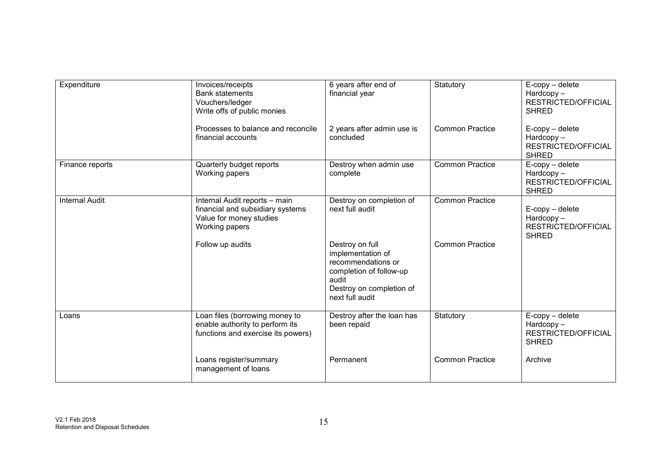| Expenditure           | Invoices/receipts<br><b>Bank statements</b><br>Vouchers/ledger<br>Write offs of public monies                  | 6 years after end of<br>financial year                                                                                                        | Statutory              | $E$ -copy – delete<br>$Hardcopy -$<br><b>RESTRICTED/OFFICIAL</b><br><b>SHRED</b> |
|-----------------------|----------------------------------------------------------------------------------------------------------------|-----------------------------------------------------------------------------------------------------------------------------------------------|------------------------|----------------------------------------------------------------------------------|
|                       | Processes to balance and reconcile<br>financial accounts                                                       | 2 years after admin use is<br>concluded                                                                                                       | <b>Common Practice</b> | $E$ -copy – delete<br>$Hardcopy -$<br>RESTRICTED/OFFICIAL<br><b>SHRED</b>        |
| Finance reports       | Quarterly budget reports<br>Working papers                                                                     | Destroy when admin use<br>complete                                                                                                            | <b>Common Practice</b> | $E$ -copy – delete<br>$Hardcopy -$<br>RESTRICTED/OFFICIAL<br><b>SHRED</b>        |
| <b>Internal Audit</b> | Internal Audit reports - main<br>financial and subsidiary systems<br>Value for money studies<br>Working papers | Destroy on completion of<br>next full audit                                                                                                   | <b>Common Practice</b> | $E$ -copy – delete<br>Hardcopy-<br>RESTRICTED/OFFICIAL<br><b>SHRED</b>           |
|                       | Follow up audits                                                                                               | Destroy on full<br>implementation of<br>recommendations or<br>completion of follow-up<br>audit<br>Destroy on completion of<br>next full audit | <b>Common Practice</b> |                                                                                  |
| Loans                 | Loan files (borrowing money to<br>enable authority to perform its<br>functions and exercise its powers)        | Destroy after the loan has<br>been repaid                                                                                                     | Statutory              | $E$ -copy – delete<br>Hardcopy-<br><b>RESTRICTED/OFFICIAL</b><br><b>SHRED</b>    |
|                       | Loans register/summary<br>management of loans                                                                  | Permanent                                                                                                                                     | <b>Common Practice</b> | Archive                                                                          |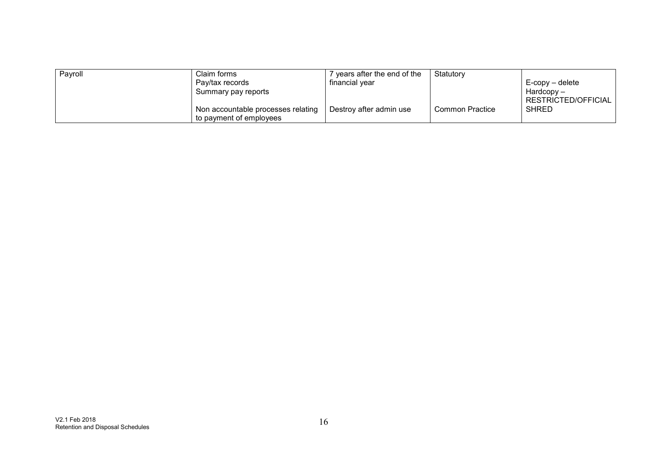| Payroll | Claim forms<br>Pay/tax records<br>Summary pay reports         | vears after the end of the<br>financial year | Statutory       | $E$ -copy – delete<br>$Hardcopy -$<br>RESTRICTED/OFFICIAL |
|---------|---------------------------------------------------------------|----------------------------------------------|-----------------|-----------------------------------------------------------|
|         | Non accountable processes relating<br>to payment of employees | Destroy after admin use                      | Common Practice | <b>SHRED</b>                                              |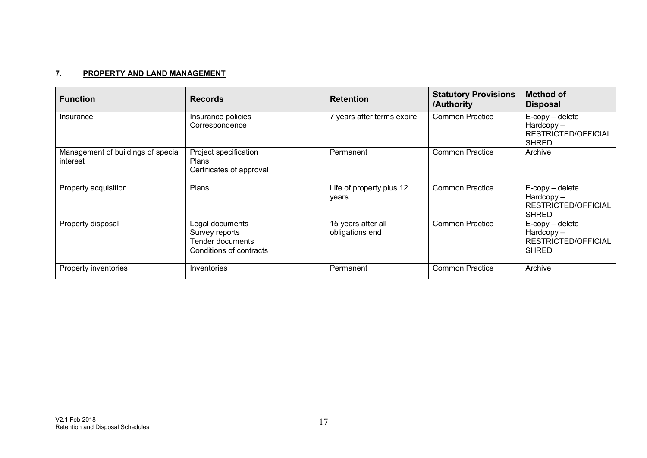### **7. PROPERTY AND LAND MANAGEMENT**

| <b>Function</b>                                | <b>Records</b>                                                                   | <b>Retention</b>                      | <b>Statutory Provisions</b><br>/Authority | <b>Method of</b><br><b>Disposal</b>                                       |
|------------------------------------------------|----------------------------------------------------------------------------------|---------------------------------------|-------------------------------------------|---------------------------------------------------------------------------|
| Insurance                                      | Insurance policies<br>Correspondence                                             | 7 years after terms expire            | <b>Common Practice</b>                    | $E$ -copy – delete<br>$Hardcopy -$<br>RESTRICTED/OFFICIAL<br><b>SHRED</b> |
| Management of buildings of special<br>interest | Project specification<br><b>Plans</b><br>Certificates of approval                | Permanent                             | <b>Common Practice</b>                    | Archive                                                                   |
| Property acquisition                           | Plans                                                                            | Life of property plus 12<br>years     | <b>Common Practice</b>                    | $E$ -copy – delete<br>$Hardcopy -$<br>RESTRICTED/OFFICIAL<br><b>SHRED</b> |
| Property disposal                              | Legal documents<br>Survey reports<br>Tender documents<br>Conditions of contracts | 15 years after all<br>obligations end | <b>Common Practice</b>                    | $E$ -copy – delete<br>$Hardcopy -$<br>RESTRICTED/OFFICIAL<br><b>SHRED</b> |
| Property inventories                           | Inventories                                                                      | Permanent                             | <b>Common Practice</b>                    | Archive                                                                   |